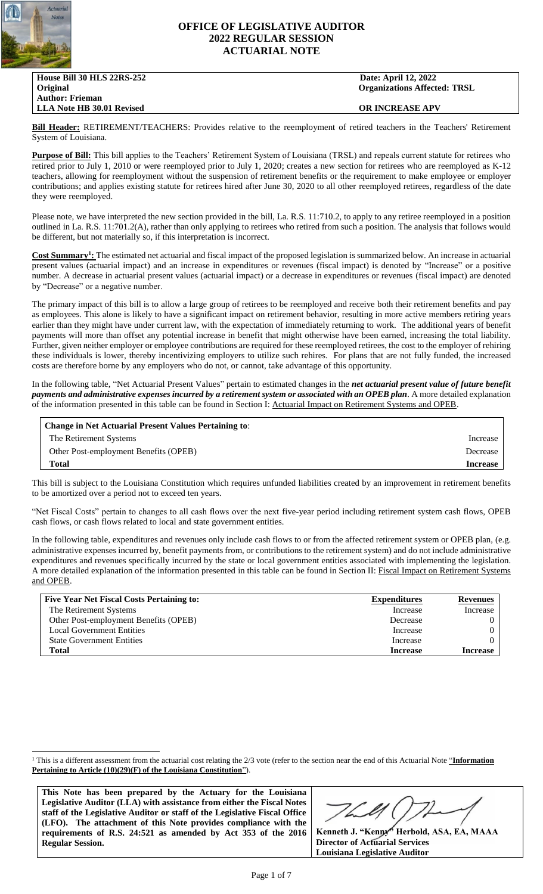

## **OFFICE OF LEGISLATIVE AUDITOR 2022 REGULAR SESSION ACTUARIAL NOTE**

| <b>House Bill 30 HLS 22RS-252</b> | Date: April 12, 2022                |
|-----------------------------------|-------------------------------------|
| <b>Original</b>                   | <b>Organizations Affected: TRSL</b> |
| <b>Author: Frieman</b>            |                                     |
| LLA Note HB 30.01 Revised         | <b>OR INCREASE APV</b>              |

**Bill Header:** RETIREMENT/TEACHERS: Provides relative to the reemployment of retired teachers in the Teachers' Retirement System of Louisiana.

**Purpose of Bill:** This bill applies to the Teachers' Retirement System of Louisiana (TRSL) and repeals current statute for retirees who retired prior to July 1, 2010 or were reemployed prior to July 1, 2020; creates a new section for retirees who are reemployed as K-12 teachers, allowing for reemployment without the suspension of retirement benefits or the requirement to make employee or employer contributions; and applies existing statute for retirees hired after June 30, 2020 to all other reemployed retirees, regardless of the date they were reemployed.

Please note, we have interpreted the new section provided in the bill, La. R.S. 11:710.2, to apply to any retiree reemployed in a position outlined in La. R.S. 11:701.2(A), rather than only applying to retirees who retired from such a position. The analysis that follows would be different, but not materially so, if this interpretation is incorrect.

**Cost Summary<sup>1</sup> :** The estimated net actuarial and fiscal impact of the proposed legislation is summarized below. An increase in actuarial present values (actuarial impact) and an increase in expenditures or revenues (fiscal impact) is denoted by "Increase" or a positive number. A decrease in actuarial present values (actuarial impact) or a decrease in expenditures or revenues (fiscal impact) are denoted by "Decrease" or a negative number.

The primary impact of this bill is to allow a large group of retirees to be reemployed and receive both their retirement benefits and pay as employees. This alone is likely to have a significant impact on retirement behavior, resulting in more active members retiring years earlier than they might have under current law, with the expectation of immediately returning to work. The additional years of benefit payments will more than offset any potential increase in benefit that might otherwise have been earned, increasing the total liability. Further, given neither employer or employee contributions are required for these reemployed retirees, the cost to the employer of rehiring these individuals is lower, thereby incentivizing employers to utilize such rehires. For plans that are not fully funded, the increased costs are therefore borne by any employers who do not, or cannot, take advantage of this opportunity.

In the following table, "Net Actuarial Present Values" pertain to estimated changes in the *net actuarial present value of future benefit payments and administrative expenses incurred by a retirement system or associated with an OPEB plan*. A more detailed explanation of the information presented in this table can be found in Section I: Actuarial Impact on Retirement Systems and OPEB.

| <b>Change in Net Actuarial Present Values Pertaining to:</b> |                 |
|--------------------------------------------------------------|-----------------|
| The Retirement Systems                                       | Increase        |
| Other Post-employment Benefits (OPEB)                        | Decrease        |
| Total                                                        | <b>Increase</b> |

This bill is subject to the Louisiana Constitution which requires unfunded liabilities created by an improvement in retirement benefits to be amortized over a period not to exceed ten years.

"Net Fiscal Costs" pertain to changes to all cash flows over the next five-year period including retirement system cash flows, OPEB cash flows, or cash flows related to local and state government entities.

In the following table, expenditures and revenues only include cash flows to or from the affected retirement system or OPEB plan, (e.g. administrative expenses incurred by, benefit payments from, or contributions to the retirement system) and do not include administrative expenditures and revenues specifically incurred by the state or local government entities associated with implementing the legislation. A more detailed explanation of the information presented in this table can be found in Section II: Fiscal Impact on Retirement Systems and OPEB.

| <b>Five Year Net Fiscal Costs Pertaining to:</b> | <b>Expenditures</b> | <b>Revenues</b> |
|--------------------------------------------------|---------------------|-----------------|
| The Retirement Systems                           | Increase            | Increase        |
| Other Post-employment Benefits (OPEB)            | Decrease            |                 |
| <b>Local Government Entities</b>                 | Increase            |                 |
| <b>State Government Entities</b>                 | Increase            |                 |
| <b>Total</b>                                     | <b>Increase</b>     | <b>Increase</b> |

**This Note has been prepared by the Actuary for the Louisiana Legislative Auditor (LLA) with assistance from either the Fiscal Notes staff of the Legislative Auditor or staff of the Legislative Fiscal Office (LFO). The attachment of this Note provides compliance with the requirements of R.S. 24:521 as amended by Act 353 of the 2016 Regular Session.** 

**Kenneth J. "Kenny" Herbold, ASA, EA, MAAA Director of Actuarial Services Louisiana Legislative Auditor**

 $\overline{a}$ <sup>1</sup> This is a different assessment from the actuarial cost relating the 2/3 vote (refer to the section near the end of this Actuarial Note "**Information Pertaining to Article (10)(29)(F) of the Louisiana Constitution**").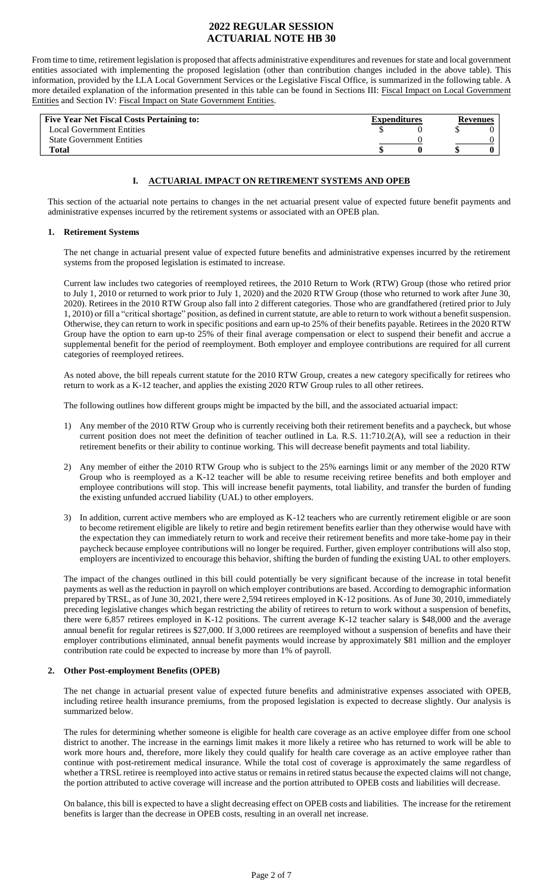From time to time, retirement legislation is proposed that affects administrative expenditures and revenues for state and local government entities associated with implementing the proposed legislation (other than contribution changes included in the above table). This information, provided by the LLA Local Government Services or the Legislative Fiscal Office, is summarized in the following table. A more detailed explanation of the information presented in this table can be found in Sections III: Fiscal Impact on Local Government Entities and Section IV: Fiscal Impact on State Government Entities.

| <b>Five Year Net Fiscal Costs Pertaining to:</b> | <b>Expenditures</b> |  | <b>Revenues</b> |
|--------------------------------------------------|---------------------|--|-----------------|
| <b>Local Government Entities</b>                 |                     |  |                 |
| <b>State Government Entities</b>                 |                     |  |                 |
| <b>Total</b>                                     |                     |  |                 |

## **I. ACTUARIAL IMPACT ON RETIREMENT SYSTEMS AND OPEB**

This section of the actuarial note pertains to changes in the net actuarial present value of expected future benefit payments and administrative expenses incurred by the retirement systems or associated with an OPEB plan.

#### **1. Retirement Systems**

The net change in actuarial present value of expected future benefits and administrative expenses incurred by the retirement systems from the proposed legislation is estimated to increase.

Current law includes two categories of reemployed retirees, the 2010 Return to Work (RTW) Group (those who retired prior to July 1, 2010 or returned to work prior to July 1, 2020) and the 2020 RTW Group (those who returned to work after June 30, 2020). Retirees in the 2010 RTW Group also fall into 2 different categories. Those who are grandfathered (retired prior to July 1, 2010) or fill a "critical shortage" position, as defined in current statute, are able to return to work without a benefit suspension. Otherwise, they can return to work in specific positions and earn up-to 25% of their benefits payable. Retirees in the 2020 RTW Group have the option to earn up-to 25% of their final average compensation or elect to suspend their benefit and accrue a supplemental benefit for the period of reemployment. Both employer and employee contributions are required for all current categories of reemployed retirees.

As noted above, the bill repeals current statute for the 2010 RTW Group, creates a new category specifically for retirees who return to work as a K-12 teacher, and applies the existing 2020 RTW Group rules to all other retirees.

The following outlines how different groups might be impacted by the bill, and the associated actuarial impact:

- 1) Any member of the 2010 RTW Group who is currently receiving both their retirement benefits and a paycheck, but whose current position does not meet the definition of teacher outlined in La. R.S. 11:710.2(A), will see a reduction in their retirement benefits or their ability to continue working. This will decrease benefit payments and total liability.
- 2) Any member of either the 2010 RTW Group who is subject to the 25% earnings limit or any member of the 2020 RTW Group who is reemployed as a K-12 teacher will be able to resume receiving retiree benefits and both employer and employee contributions will stop. This will increase benefit payments, total liability, and transfer the burden of funding the existing unfunded accrued liability (UAL) to other employers.
- 3) In addition, current active members who are employed as K-12 teachers who are currently retirement eligible or are soon to become retirement eligible are likely to retire and begin retirement benefits earlier than they otherwise would have with the expectation they can immediately return to work and receive their retirement benefits and more take-home pay in their paycheck because employee contributions will no longer be required. Further, given employer contributions will also stop, employers are incentivized to encourage this behavior, shifting the burden of funding the existing UAL to other employers.

The impact of the changes outlined in this bill could potentially be very significant because of the increase in total benefit payments as well as the reduction in payroll on which employer contributions are based. According to demographic information prepared by TRSL, as of June 30, 2021, there were 2,594 retirees employed in K-12 positions. As of June 30, 2010, immediately preceding legislative changes which began restricting the ability of retirees to return to work without a suspension of benefits, there were 6,857 retirees employed in K-12 positions. The current average K-12 teacher salary is \$48,000 and the average annual benefit for regular retirees is \$27,000. If 3,000 retirees are reemployed without a suspension of benefits and have their employer contributions eliminated, annual benefit payments would increase by approximately \$81 million and the employer contribution rate could be expected to increase by more than 1% of payroll.

#### **2. Other Post-employment Benefits (OPEB)**

The net change in actuarial present value of expected future benefits and administrative expenses associated with OPEB, including retiree health insurance premiums, from the proposed legislation is expected to decrease slightly. Our analysis is summarized below.

The rules for determining whether someone is eligible for health care coverage as an active employee differ from one school district to another. The increase in the earnings limit makes it more likely a retiree who has returned to work will be able to work more hours and, therefore, more likely they could qualify for health care coverage as an active employee rather than continue with post-retirement medical insurance. While the total cost of coverage is approximately the same regardless of whether a TRSL retiree is reemployed into active status or remains in retired status because the expected claims will not change, the portion attributed to active coverage will increase and the portion attributed to OPEB costs and liabilities will decrease.

On balance, this bill is expected to have a slight decreasing effect on OPEB costs and liabilities. The increase for the retirement benefits is larger than the decrease in OPEB costs, resulting in an overall net increase.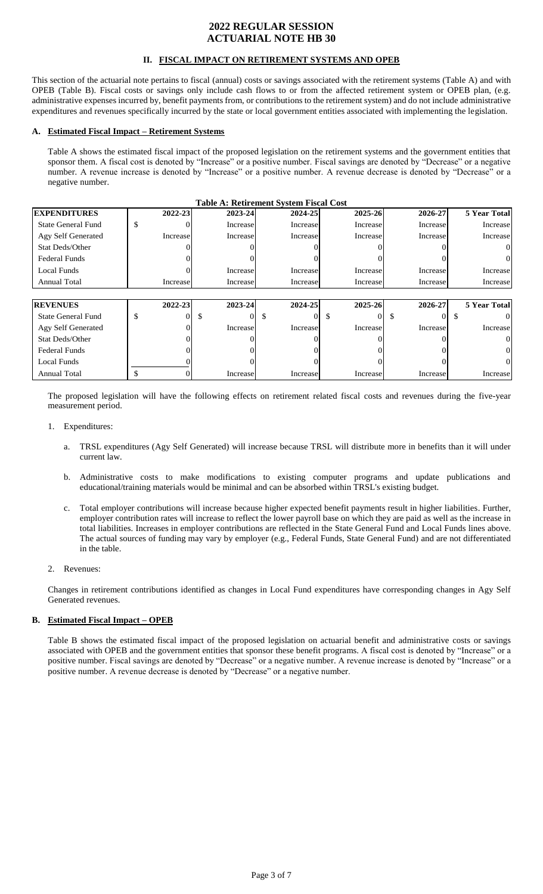## **II. FISCAL IMPACT ON RETIREMENT SYSTEMS AND OPEB**

This section of the actuarial note pertains to fiscal (annual) costs or savings associated with the retirement systems (Table A) and with OPEB (Table B). Fiscal costs or savings only include cash flows to or from the affected retirement system or OPEB plan, (e.g. administrative expenses incurred by, benefit payments from, or contributions to the retirement system) and do not include administrative expenditures and revenues specifically incurred by the state or local government entities associated with implementing the legislation.

### **A. Estimated Fiscal Impact – Retirement Systems**

Table A shows the estimated fiscal impact of the proposed legislation on the retirement systems and the government entities that sponsor them. A fiscal cost is denoted by "Increase" or a positive number. Fiscal savings are denoted by "Decrease" or a negative number. A revenue increase is denoted by "Increase" or a positive number. A revenue decrease is denoted by "Decrease" or a negative number.

| <b>Table A: Retirement System Fiscal Cost</b> |             |          |          |             |          |                     |
|-----------------------------------------------|-------------|----------|----------|-------------|----------|---------------------|
| <b>EXPENDITURES</b>                           | $2022 - 23$ | 2023-24  | 2024-25  | $2025 - 26$ | 2026-27  | <b>5 Year Total</b> |
| <b>State General Fund</b>                     | \$          | Increase | Increase | Increase    | Increase | Increase            |
| Agy Self Generated                            | Increase    | Increase | Increase | Increase    | Increase | Increase            |
| Stat Deds/Other                               |             |          |          |             |          |                     |
| <b>Federal Funds</b>                          |             |          |          |             |          |                     |
| <b>Local Funds</b>                            |             | Increase | Increase | Increase    | Increase | Increase            |
| <b>Annual Total</b>                           | Increase    | Increase | Increase | Increase    | Increase | Increase            |
|                                               |             |          |          |             |          |                     |
| <b>REVENUES</b>                               | 2022-23     | 2023-24  | 2024-25  | 2025-26     | 2026-27  | <b>5 Year Total</b> |
| <b>State General Fund</b>                     | \$          |          |          |             |          |                     |
| Agy Self Generated                            |             | Increase | Increase | Increase    | Increase | Increase            |
| Stat Deds/Other                               |             |          |          |             |          |                     |
| <b>Federal Funds</b>                          |             |          |          |             |          |                     |
| Local Funds                                   |             |          |          |             |          |                     |
| <b>Annual Total</b>                           | \$          | Increase | Increase | Increase    | Increase | Increase            |

The proposed legislation will have the following effects on retirement related fiscal costs and revenues during the five-year measurement period.

#### 1. Expenditures:

- a. TRSL expenditures (Agy Self Generated) will increase because TRSL will distribute more in benefits than it will under current law.
- b. Administrative costs to make modifications to existing computer programs and update publications and educational/training materials would be minimal and can be absorbed within TRSL's existing budget.
- c. Total employer contributions will increase because higher expected benefit payments result in higher liabilities. Further, employer contribution rates will increase to reflect the lower payroll base on which they are paid as well as the increase in total liabilities. Increases in employer contributions are reflected in the State General Fund and Local Funds lines above. The actual sources of funding may vary by employer (e.g., Federal Funds, State General Fund) and are not differentiated in the table.

#### 2. Revenues:

Changes in retirement contributions identified as changes in Local Fund expenditures have corresponding changes in Agy Self Generated revenues.

## **B. Estimated Fiscal Impact – OPEB**

Table B shows the estimated fiscal impact of the proposed legislation on actuarial benefit and administrative costs or savings associated with OPEB and the government entities that sponsor these benefit programs. A fiscal cost is denoted by "Increase" or a positive number. Fiscal savings are denoted by "Decrease" or a negative number. A revenue increase is denoted by "Increase" or a positive number. A revenue decrease is denoted by "Decrease" or a negative number.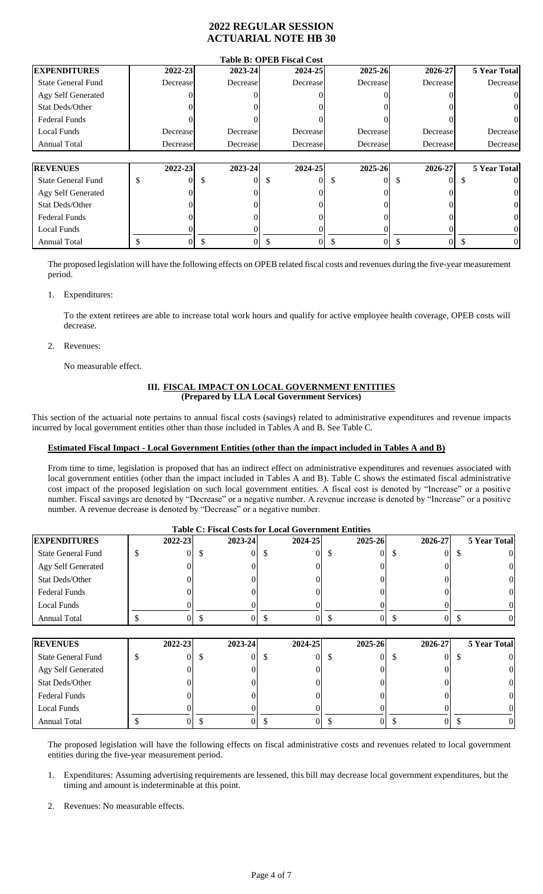| <b>Table B: OPEB Fiscal Cost</b> |          |          |          |          |          |                     |
|----------------------------------|----------|----------|----------|----------|----------|---------------------|
| <b>EXPENDITURES</b>              | 2022-23  | 2023-24  | 2024-25  | 2025-26  | 2026-27  | <b>5 Year Total</b> |
| <b>State General Fund</b>        | Decrease | Decrease | Decrease | Decrease | Decrease | Decrease            |
| Agy Self Generated               |          |          |          |          |          | $\Omega$            |
| Stat Deds/Other                  |          |          |          |          |          | $\Omega$            |
| <b>Federal Funds</b>             |          |          |          |          |          |                     |
| Local Funds                      | Decrease | Decrease | Decrease | Decrease | Decrease | Decrease            |
| <b>Annual Total</b>              | Decrease | Decrease | Decrease | Decrease | Decrease | Decrease            |
|                                  |          |          |          |          |          |                     |
| <b>REVENUES</b>                  | 2022-23  | 2023-24  | 2024-25  | 2025-26  | 2026-27  | <b>5 Year Total</b> |
| <b>State General Fund</b>        | \$       | \$       |          |          |          | $\Omega$            |
| Agy Self Generated               |          |          |          |          |          | $\Omega$            |
| Stat Deds/Other                  |          |          |          |          |          | $\Omega$            |
| <b>Federal Funds</b>             |          |          |          |          |          | $\Omega$            |
| Local Funds                      |          |          |          |          |          | $\overline{0}$      |
| <b>Annual Total</b>              |          |          |          |          |          | $\Omega$            |

The proposed legislation will have the following effects on OPEB related fiscal costs and revenues during the five-year measurement period.

1. Expenditures:

To the extent retirees are able to increase total work hours and qualify for active employee health coverage, OPEB costs will decrease.

2. Revenues:

No measurable effect.

#### **III. FISCAL IMPACT ON LOCAL GOVERNMENT ENTITIES (Prepared by LLA Local Government Services)**

This section of the actuarial note pertains to annual fiscal costs (savings) related to administrative expenditures and revenue impacts incurred by local government entities other than those included in Tables A and B. See Table C.

## **Estimated Fiscal Impact - Local Government Entities (other than the impact included in Tables A and B)**

From time to time, legislation is proposed that has an indirect effect on administrative expenditures and revenues associated with local government entities (other than the impact included in Tables A and B). Table C shows the estimated fiscal administrative cost impact of the proposed legislation on such local government entities. A fiscal cost is denoted by "Increase" or a positive number. Fiscal savings are denoted by "Decrease" or a negative number. A revenue increase is denoted by "Increase" or a positive number. A revenue decrease is denoted by "Decrease" or a negative number.

**Table C: Fiscal Costs for Local Government Entities**

| <b>EXPENDITURES</b>       | 2022-23 | 2023-24 | 2024-25 | 2025-26 | 2026-27 | <b>5 Year Total</b> |
|---------------------------|---------|---------|---------|---------|---------|---------------------|
| <b>State General Fund</b> |         |         |         |         |         |                     |
| Agy Self Generated        |         |         |         |         |         |                     |
| Stat Deds/Other           |         |         |         |         |         |                     |
| Federal Funds             |         |         |         |         |         |                     |
| <b>Local Funds</b>        |         |         | OI.     |         |         |                     |
| <b>Annual Total</b>       |         | D       | 01      |         |         |                     |
|                           |         |         |         |         |         |                     |
| <b>REVENUES</b>           | 2022-23 | 2023-24 | 2024-25 | 2025-26 | 2026-27 | <b>5 Year Total</b> |
| <b>State General Fund</b> | ъ       |         |         |         |         |                     |
| Agy Self Generated        |         |         |         |         |         |                     |
| Stat Deds/Other           |         |         |         |         |         |                     |
| Federal Funds             |         |         |         |         |         |                     |
| Local Funds               |         |         |         |         |         |                     |
| <b>Annual Total</b>       |         |         |         |         |         |                     |

The proposed legislation will have the following effects on fiscal administrative costs and revenues related to local government entities during the five-year measurement period.

1. Expenditures: Assuming advertising requirements are lessened, this bill may decrease local government expenditures, but the timing and amount is indeterminable at this point.

2. Revenues: No measurable effects.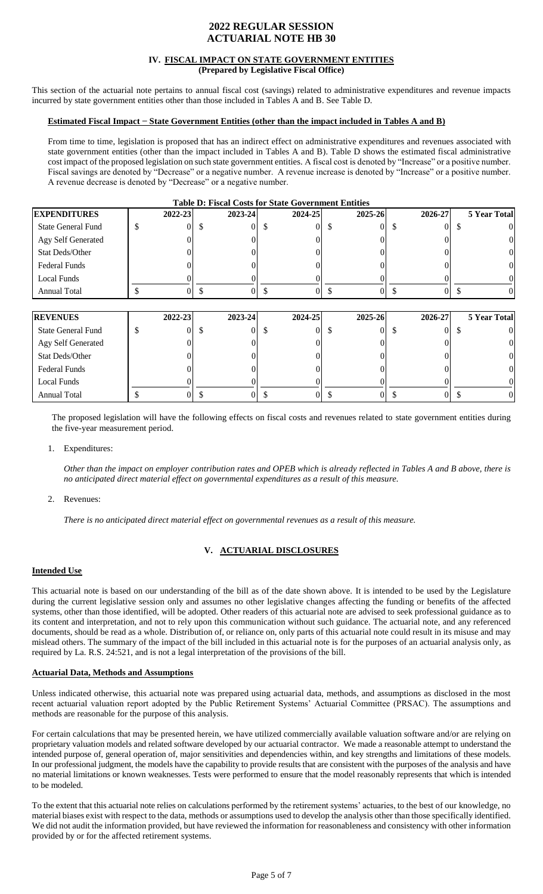### **IV. FISCAL IMPACT ON STATE GOVERNMENT ENTITIES (Prepared by Legislative Fiscal Office)**

This section of the actuarial note pertains to annual fiscal cost (savings) related to administrative expenditures and revenue impacts incurred by state government entities other than those included in Tables A and B. See Table D.

### **Estimated Fiscal Impact − State Government Entities (other than the impact included in Tables A and B)**

From time to time, legislation is proposed that has an indirect effect on administrative expenditures and revenues associated with state government entities (other than the impact included in Tables A and B). Table D shows the estimated fiscal administrative cost impact of the proposed legislation on such state government entities. A fiscal cost is denoted by "Increase" or a positive number. Fiscal savings are denoted by "Decrease" or a negative number. A revenue increase is denoted by "Increase" or a positive number. A revenue decrease is denoted by "Decrease" or a negative number.

| <b>Table D: Fiscal Costs for State Government Entities</b> |             |  |             |  |         |             |         |                     |
|------------------------------------------------------------|-------------|--|-------------|--|---------|-------------|---------|---------------------|
| <b>EXPENDITURES</b>                                        | $2022 - 23$ |  | $2023 - 24$ |  | 2024-25 | $2025 - 26$ | 2026-27 | <b>5 Year Total</b> |
| <b>State General Fund</b>                                  |             |  | OI.         |  | UΙ      |             |         |                     |
| Agy Self Generated                                         |             |  |             |  |         |             |         |                     |
| Stat Deds/Other                                            |             |  |             |  |         |             |         |                     |
| <b>Federal Funds</b>                                       |             |  |             |  |         |             |         |                     |
| Local Funds                                                |             |  |             |  |         |             |         |                     |
| <b>Annual Total</b>                                        |             |  |             |  |         |             |         |                     |

| <b>REVENUES</b>           | $2022 - 23$ | 2023-24 | 2024-25 | $2025 - 26$ | 2026-27 | <b>5 Year Total</b> |
|---------------------------|-------------|---------|---------|-------------|---------|---------------------|
| <b>State General Fund</b> | IJ          | 01      | ΟI      |             |         | $\Omega$            |
| Agy Self Generated        |             |         |         |             |         | $\Omega$            |
| Stat Deds/Other           |             |         |         |             |         | $\Omega$            |
| <b>Federal Funds</b>      |             |         |         |             |         | $\Omega$            |
| Local Funds               |             |         |         |             |         |                     |
| <b>Annual Total</b>       |             |         |         |             |         |                     |

The proposed legislation will have the following effects on fiscal costs and revenues related to state government entities during the five-year measurement period.

1. Expenditures:

*Other than the impact on employer contribution rates and OPEB which is already reflected in Tables A and B above, there is no anticipated direct material effect on governmental expenditures as a result of this measure.*

2. Revenues:

*There is no anticipated direct material effect on governmental revenues as a result of this measure.*

## **V. ACTUARIAL DISCLOSURES**

## **Intended Use**

This actuarial note is based on our understanding of the bill as of the date shown above. It is intended to be used by the Legislature during the current legislative session only and assumes no other legislative changes affecting the funding or benefits of the affected systems, other than those identified, will be adopted. Other readers of this actuarial note are advised to seek professional guidance as to its content and interpretation, and not to rely upon this communication without such guidance. The actuarial note, and any referenced documents, should be read as a whole. Distribution of, or reliance on, only parts of this actuarial note could result in its misuse and may mislead others. The summary of the impact of the bill included in this actuarial note is for the purposes of an actuarial analysis only, as required by La. R.S. 24:521, and is not a legal interpretation of the provisions of the bill.

#### **Actuarial Data, Methods and Assumptions**

Unless indicated otherwise, this actuarial note was prepared using actuarial data, methods, and assumptions as disclosed in the most recent actuarial valuation report adopted by the Public Retirement Systems' Actuarial Committee (PRSAC). The assumptions and methods are reasonable for the purpose of this analysis.

For certain calculations that may be presented herein, we have utilized commercially available valuation software and/or are relying on proprietary valuation models and related software developed by our actuarial contractor. We made a reasonable attempt to understand the intended purpose of, general operation of, major sensitivities and dependencies within, and key strengths and limitations of these models. In our professional judgment, the models have the capability to provide results that are consistent with the purposes of the analysis and have no material limitations or known weaknesses. Tests were performed to ensure that the model reasonably represents that which is intended to be modeled.

To the extent that this actuarial note relies on calculations performed by the retirement systems' actuaries, to the best of our knowledge, no material biases exist with respect to the data, methods or assumptions used to develop the analysis other than those specifically identified. We did not audit the information provided, but have reviewed the information for reasonableness and consistency with other information provided by or for the affected retirement systems.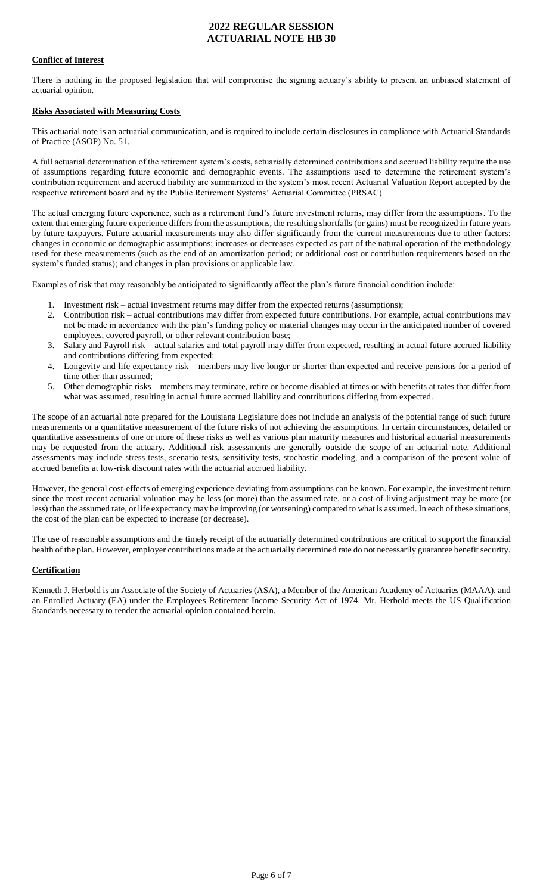## **Conflict of Interest**

There is nothing in the proposed legislation that will compromise the signing actuary's ability to present an unbiased statement of actuarial opinion.

### **Risks Associated with Measuring Costs**

This actuarial note is an actuarial communication, and is required to include certain disclosures in compliance with Actuarial Standards of Practice (ASOP) No. 51.

A full actuarial determination of the retirement system's costs, actuarially determined contributions and accrued liability require the use of assumptions regarding future economic and demographic events. The assumptions used to determine the retirement system's contribution requirement and accrued liability are summarized in the system's most recent Actuarial Valuation Report accepted by the respective retirement board and by the Public Retirement Systems' Actuarial Committee (PRSAC).

The actual emerging future experience, such as a retirement fund's future investment returns, may differ from the assumptions. To the extent that emerging future experience differs from the assumptions, the resulting shortfalls (or gains) must be recognized in future years by future taxpayers. Future actuarial measurements may also differ significantly from the current measurements due to other factors: changes in economic or demographic assumptions; increases or decreases expected as part of the natural operation of the methodology used for these measurements (such as the end of an amortization period; or additional cost or contribution requirements based on the system's funded status); and changes in plan provisions or applicable law.

Examples of risk that may reasonably be anticipated to significantly affect the plan's future financial condition include:

- 1. Investment risk actual investment returns may differ from the expected returns (assumptions);
- 2. Contribution risk actual contributions may differ from expected future contributions. For example, actual contributions may not be made in accordance with the plan's funding policy or material changes may occur in the anticipated number of covered employees, covered payroll, or other relevant contribution base;
- 3. Salary and Payroll risk actual salaries and total payroll may differ from expected, resulting in actual future accrued liability and contributions differing from expected;
- 4. Longevity and life expectancy risk members may live longer or shorter than expected and receive pensions for a period of time other than assumed;
- 5. Other demographic risks members may terminate, retire or become disabled at times or with benefits at rates that differ from what was assumed, resulting in actual future accrued liability and contributions differing from expected.

The scope of an actuarial note prepared for the Louisiana Legislature does not include an analysis of the potential range of such future measurements or a quantitative measurement of the future risks of not achieving the assumptions. In certain circumstances, detailed or quantitative assessments of one or more of these risks as well as various plan maturity measures and historical actuarial measurements may be requested from the actuary. Additional risk assessments are generally outside the scope of an actuarial note. Additional assessments may include stress tests, scenario tests, sensitivity tests, stochastic modeling, and a comparison of the present value of accrued benefits at low-risk discount rates with the actuarial accrued liability.

However, the general cost-effects of emerging experience deviating from assumptions can be known. For example, the investment return since the most recent actuarial valuation may be less (or more) than the assumed rate, or a cost-of-living adjustment may be more (or less) than the assumed rate, or life expectancy may be improving (or worsening) compared to what is assumed. In each of these situations, the cost of the plan can be expected to increase (or decrease).

The use of reasonable assumptions and the timely receipt of the actuarially determined contributions are critical to support the financial health of the plan. However, employer contributions made at the actuarially determined rate do not necessarily guarantee benefit security.

## **Certification**

Kenneth J. Herbold is an Associate of the Society of Actuaries (ASA), a Member of the American Academy of Actuaries (MAAA), and an Enrolled Actuary (EA) under the Employees Retirement Income Security Act of 1974. Mr. Herbold meets the US Qualification Standards necessary to render the actuarial opinion contained herein.